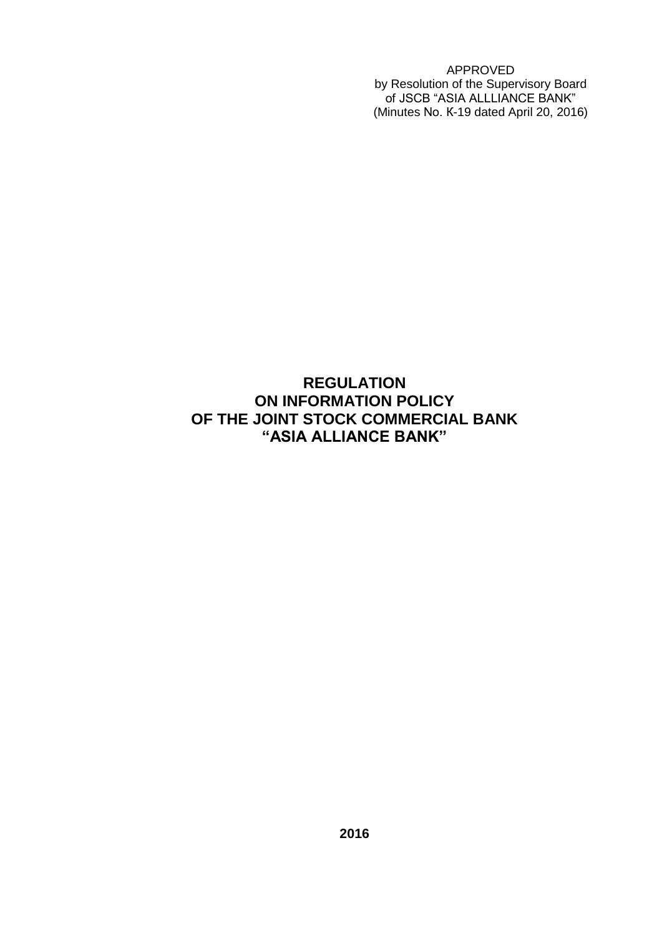APPROVED by Resolution of the Supervisory Board of JSCB "ASIA ALLLIANCE BANK" (Minutes No. К-19 dated April 20, 2016)

# **REGULATION ON INFORMATION POLICY OF THE JOINT STOCK COMMERCIAL BANK "ASIA ALLIANCE BANK"**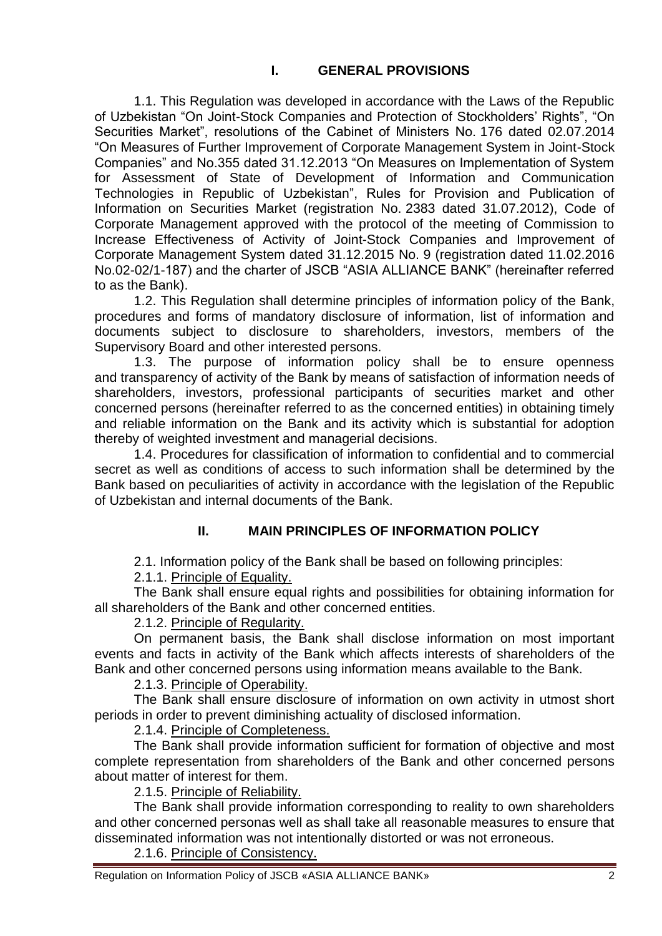1.1. This Regulation was developed in accordance with the Laws of the Republic of Uzbekistan "On Joint-Stock Companies and Protection of Stockholders' Rights", "On Securities Market", resolutions of the Cabinet of Ministers No. 176 dated 02.07.2014 "On Measures of Further Improvement of Corporate Management System in Joint-Stock Companies" and No.355 dated 31.12.2013 "On Measures on Implementation of System for Assessment of State of Development of Information and Communication Technologies in Republic of Uzbekistan", Rules for Provision and Publication of Information on Securities Market (registration No. 2383 dated 31.07.2012), Code of Corporate Management approved with the protocol of the meeting of Commission to Increase Effectiveness of Activity of Joint-Stock Companies and Improvement of Corporate Management System dated 31.12.2015 No. 9 (registration dated 11.02.2016 No.02-02/1-187) and the charter of JSCB "ASIA ALLIANCE BANK" (hereinafter referred to as the Bank).

1.2. This Regulation shall determine principles of information policy of the Bank, procedures and forms of mandatory disclosure of information, list of information and documents subject to disclosure to shareholders, investors, members of the Supervisory Board and other interested persons.

1.3. The purpose of information policy shall be to ensure openness and transparency of activity of the Bank by means of satisfaction of information needs of shareholders, investors, professional participants of securities market and other concerned persons (hereinafter referred to as the concerned entities) in obtaining timely and reliable information on the Bank and its activity which is substantial for adoption thereby of weighted investment and managerial decisions.

1.4. Procedures for classification of information to confidential and to commercial secret as well as conditions of access to such information shall be determined by the Bank based on peculiarities of activity in accordance with the legislation of the Republic of Uzbekistan and internal documents of the Bank.

## **II. MAIN PRINCIPLES OF INFORMATION POLICY**

2.1. Information policy of the Bank shall be based on following principles:

2.1.1. Principle of Equality.

The Bank shall ensure equal rights and possibilities for obtaining information for all shareholders of the Bank and other concerned entities.

2.1.2. Principle of Regularity.

On permanent basis, the Bank shall disclose information on most important events and facts in activity of the Bank which affects interests of shareholders of the Bank and other concerned persons using information means available to the Bank.

2.1.3. Principle of Operability.

The Bank shall ensure disclosure of information on own activity in utmost short periods in order to prevent diminishing actuality of disclosed information.

2.1.4. Principle of Completeness.

The Bank shall provide information sufficient for formation of objective and most complete representation from shareholders of the Bank and other concerned persons about matter of interest for them.

2.1.5. Principle of Reliability.

The Bank shall provide information corresponding to reality to own shareholders and other concerned personas well as shall take all reasonable measures to ensure that disseminated information was not intentionally distorted or was not erroneous.

2.1.6. Principle of Consistency.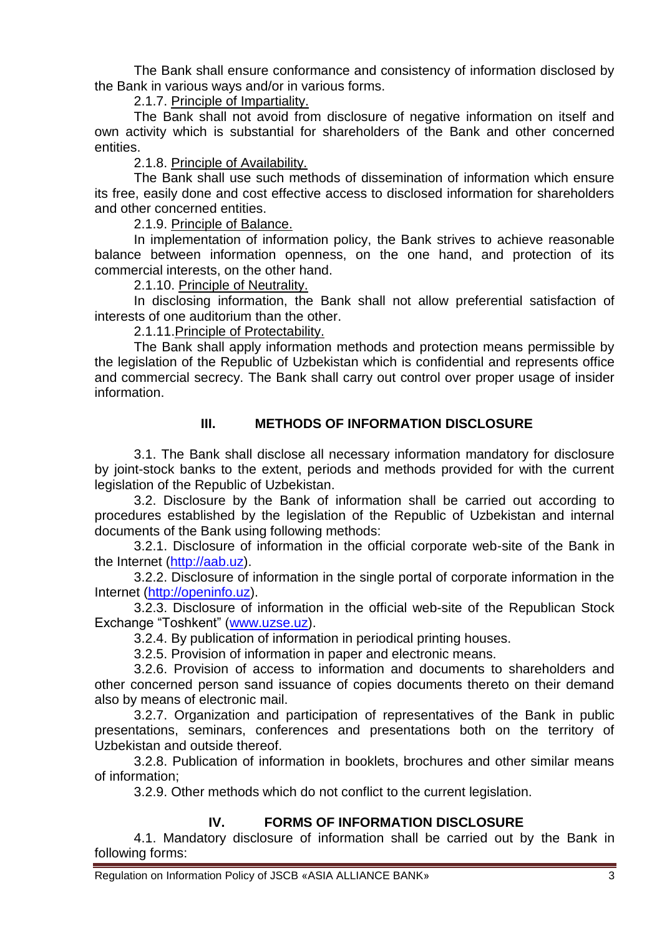The Bank shall ensure conformance and consistency of information disclosed by the Bank in various ways and/or in various forms.

2.1.7. Principle of Impartiality.

The Bank shall not avoid from disclosure of negative information on itself and own activity which is substantial for shareholders of the Bank and other concerned entities.

2.1.8. Principle of Availability.

The Bank shall use such methods of dissemination of information which ensure its free, easily done and cost effective access to disclosed information for shareholders and other concerned entities.

2.1.9. Principle of Balance.

In implementation of information policy, the Bank strives to achieve reasonable balance between information openness, on the one hand, and protection of its commercial interests, on the other hand.

2.1.10. Principle of Neutrality.

In disclosing information, the Bank shall not allow preferential satisfaction of interests of one auditorium than the other.

2.1.11.Principle of Protectability.

The Bank shall apply information methods and protection means permissible by the legislation of the Republic of Uzbekistan which is confidential and represents office and commercial secrecy. The Bank shall carry out control over proper usage of insider information.

## **III. METHODS OF INFORMATION DISCLOSURE**

3.1. The Bank shall disclose all necessary information mandatory for disclosure by joint-stock banks to the extent, periods and methods provided for with the current legislation of the Republic of Uzbekistan.

3.2. Disclosure by the Bank of information shall be carried out according to procedures established by the legislation of the Republic of Uzbekistan and internal documents of the Bank using following methods:

3.2.1. Disclosure of information in the official corporate web-site of the Bank in the Internet [\(http://aab.uz\)](http://aab.uz/).

3.2.2. Disclosure of information in the single portal of corporate information in the Internet [\(http://openinfo.uz\)](http://openinfo.uz/).

3.2.3. Disclosure of information in the official web-site of the Republican Stock Exchange "Toshkent" [\(www.uzse.uz\)](http://www.uzse.uz/).

3.2.4. By publication of information in periodical printing houses.

3.2.5. Provision of information in paper and electronic means.

3.2.6. Provision of access to information and documents to shareholders and other concerned person sand issuance of copies documents thereto on their demand also by means of electronic mail.

3.2.7. Organization and participation of representatives of the Bank in public presentations, seminars, conferences and presentations both on the territory of Uzbekistan and outside thereof.

3.2.8. Publication of information in booklets, brochures and other similar means of information;

3.2.9. Other methods which do not conflict to the current legislation.

## IV. **FORMS OF INFORMATION DISCLOSURE**

4.1. Mandatory disclosure of information shall be carried out by the Bank in following forms: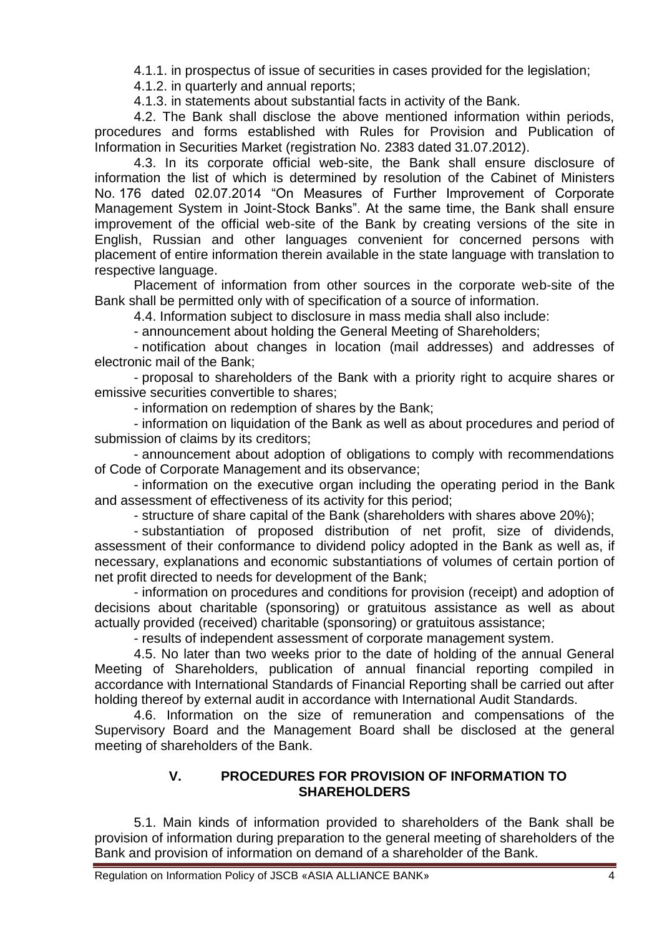4.1.1. in prospectus of issue of securities in cases provided for the legislation;

4.1.2. in quarterly and annual reports;

4.1.3. in statements about substantial facts in activity of the Bank.

4.2. The Bank shall disclose the above mentioned information within periods, procedures and forms established with Rules for Provision and Publication of Information in Securities Market (registration No. 2383 dated 31.07.2012).

4.3. In its corporate official web-site, the Bank shall ensure disclosure of information the list of which is determined by resolution of the Cabinet of Ministers No. 176 dated 02.07.2014 "On Measures of Further Improvement of Corporate Management System in Joint-Stock Banks". At the same time, the Bank shall ensure improvement of the official web-site of the Bank by creating versions of the site in English, Russian and other languages convenient for concerned persons with placement of entire information therein available in the state language with translation to respective language.

Placement of information from other sources in the corporate web-site of the Bank shall be permitted only with of specification of a source of information.

4.4. Information subject to disclosure in mass media shall also include:

- announcement about holding the General Meeting of Shareholders;

- notification about changes in location (mail addresses) and addresses of electronic mail of the Bank;

- proposal to shareholders of the Bank with a priority right to acquire shares or emissive securities convertible to shares;

- information on redemption of shares by the Bank;

- information on liquidation of the Bank as well as about procedures and period of submission of claims by its creditors;

- announcement about adoption of obligations to comply with recommendations of Code of Corporate Management and its observance;

- information on the executive organ including the operating period in the Bank and assessment of effectiveness of its activity for this period;

- structure of share capital of the Bank (shareholders with shares above 20%);

- substantiation of proposed distribution of net profit, size of dividends, assessment of their conformance to dividend policy adopted in the Bank as well as, if necessary, explanations and economic substantiations of volumes of certain portion of net profit directed to needs for development of the Bank;

- information on procedures and conditions for provision (receipt) and adoption of decisions about charitable (sponsoring) or gratuitous assistance as well as about actually provided (received) charitable (sponsoring) or gratuitous assistance;

- results of independent assessment of corporate management system.

4.5. No later than two weeks prior to the date of holding of the annual General Meeting of Shareholders, publication of annual financial reporting compiled in accordance with International Standards of Financial Reporting shall be carried out after holding thereof by external audit in accordance with International Audit Standards.

4.6. Information on the size of remuneration and compensations of the Supervisory Board and the Management Board shall be disclosed at the general meeting of shareholders of the Bank.

### **V. PROCEDURES FOR PROVISION OF INFORMATION TO SHAREHOLDERS**

5.1. Main kinds of information provided to shareholders of the Bank shall be provision of information during preparation to the general meeting of shareholders of the Bank and provision of information on demand of a shareholder of the Bank.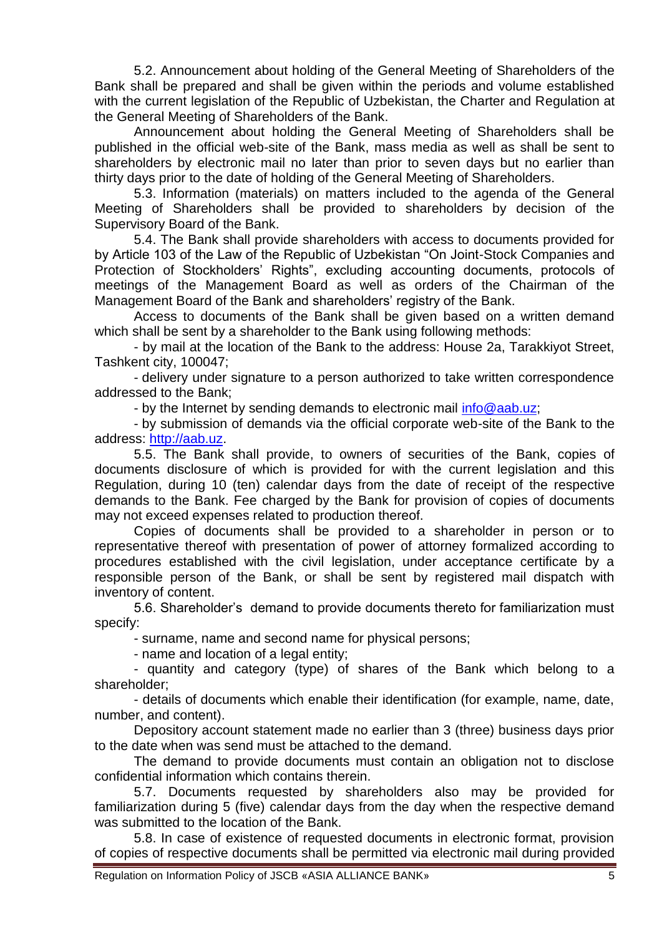5.2. Announcement about holding of the General Meeting of Shareholders of the Bank shall be prepared and shall be given within the periods and volume established with the current legislation of the Republic of Uzbekistan, the Charter and Regulation at the General Meeting of Shareholders of the Bank.

Announcement about holding the General Meeting of Shareholders shall be published in the official web-site of the Bank, mass media as well as shall be sent to shareholders by electronic mail no later than prior to seven days but no earlier than thirty days prior to the date of holding of the General Meeting of Shareholders.

5.3. Information (materials) on matters included to the agenda of the General Meeting of Shareholders shall be provided to shareholders by decision of the Supervisory Board of the Bank.

5.4. The Bank shall provide shareholders with access to documents provided for by Article 103 of the Law of the Republic of Uzbekistan "On Joint-Stock Companies and Protection of Stockholders' Rights", excluding accounting documents, protocols of meetings of the Management Board as well as orders of the Chairman of the Management Board of the Bank and shareholders' registry of the Bank.

Access to documents of the Bank shall be given based on a written demand which shall be sent by a shareholder to the Bank using following methods:

- by mail at the location of the Bank to the address: House 2a, Tarakkiyot Street, Tashkent city, 100047;

- delivery under signature to a person authorized to take written correspondence addressed to the Bank;

- by the Internet by sending demands to electronic mail [info@aab.uz;](mailto:info@aab.uz)

- by submission of demands via the official corporate web-site of the Bank to the address: [http://aab.uz.](http://aab.uz/)

5.5. The Bank shall provide, to owners of securities of the Bank, copies of documents disclosure of which is provided for with the current legislation and this Regulation, during 10 (ten) calendar days from the date of receipt of the respective demands to the Bank. Fee charged by the Bank for provision of copies of documents may not exceed expenses related to production thereof.

Copies of documents shall be provided to a shareholder in person or to representative thereof with presentation of power of attorney formalized according to procedures established with the civil legislation, under acceptance certificate by a responsible person of the Bank, or shall be sent by registered mail dispatch with inventory of content.

5.6. Shareholder's demand to provide documents thereto for familiarization must specify:

- surname, name and second name for physical persons;

- name and location of a legal entity;

- quantity and category (type) of shares of the Bank which belong to a shareholder;

- details of documents which enable their identification (for example, name, date, number, and content).

Depository account statement made no earlier than 3 (three) business days prior to the date when was send must be attached to the demand.

The demand to provide documents must contain an obligation not to disclose confidential information which contains therein.

5.7. Documents requested by shareholders also may be provided for familiarization during 5 (five) calendar days from the day when the respective demand was submitted to the location of the Bank.

5.8. In case of existence of requested documents in electronic format, provision of copies of respective documents shall be permitted via electronic mail during provided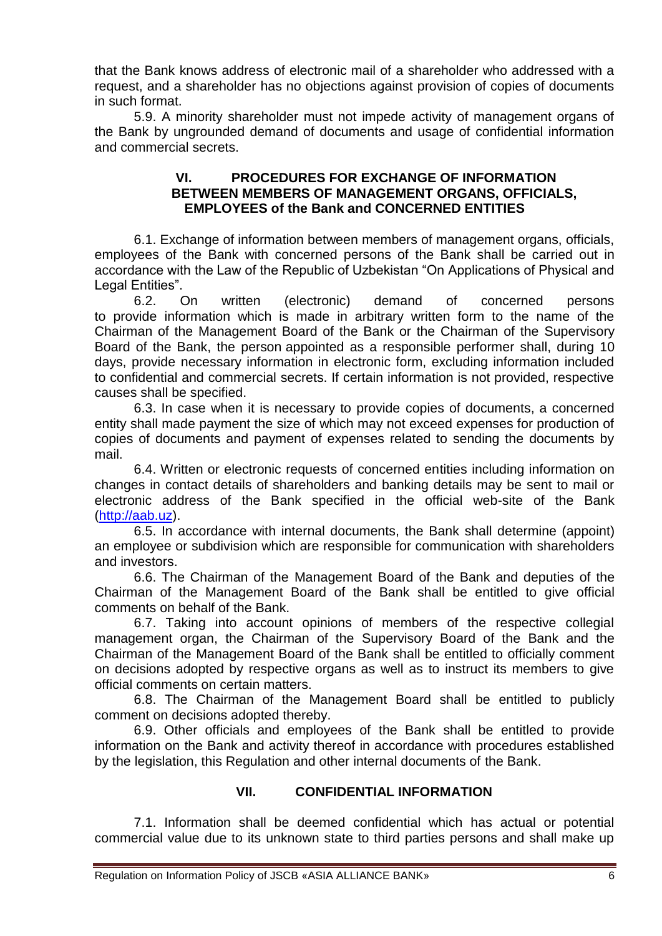that the Bank knows address of electronic mail of a shareholder who addressed with a request, and a shareholder has no objections against provision of copies of documents in such format.

5.9. A minority shareholder must not impede activity of management organs of the Bank by ungrounded demand of documents and usage of confidential information and commercial secrets.

#### **VI. PROCEDURES FOR EXCHANGE OF INFORMATION BETWEEN MEMBERS OF MANAGEMENT ORGANS, OFFICIALS, EMPLOYEES of the Bank and CONCERNED ENTITIES**

6.1. Exchange of information between members of management organs, officials, employees of the Bank with concerned persons of the Bank shall be carried out in accordance with the Law of the Republic of Uzbekistan "On Applications of Physical and Legal Entities".

6.2. On written (electronic) demand of concerned persons to provide information which is made in arbitrary written form to the name of the Chairman of the Management Board of the Bank or the Chairman of the Supervisory Board of the Bank, the person appointed as a responsible performer shall, during 10 days, provide necessary information in electronic form, excluding information included to confidential and commercial secrets. If certain information is not provided, respective causes shall be specified.

6.3. In case when it is necessary to provide copies of documents, a concerned entity shall made payment the size of which may not exceed expenses for production of copies of documents and payment of expenses related to sending the documents by mail.

6.4. Written or electronic requests of concerned entities including information on changes in contact details of shareholders and banking details may be sent to mail or electronic address of the Bank specified in the official web-site of the Bank [\(http://aab.uz\)](http://aab.uz/).

6.5. In accordance with internal documents, the Bank shall determine (appoint) an employee or subdivision which are responsible for communication with shareholders and investors.

6.6. The Chairman of the Management Board of the Bank and deputies of the Chairman of the Management Board of the Bank shall be entitled to give official comments on behalf of the Bank.

6.7. Taking into account opinions of members of the respective collegial management organ, the Chairman of the Supervisory Board of the Bank and the Chairman of the Management Board of the Bank shall be entitled to officially comment on decisions adopted by respective organs as well as to instruct its members to give official comments on certain matters.

6.8. The Chairman of the Management Board shall be entitled to publicly comment on decisions adopted thereby.

6.9. Other officials and employees of the Bank shall be entitled to provide information on the Bank and activity thereof in accordance with procedures established by the legislation, this Regulation and other internal documents of the Bank.

### **VII. CONFIDENTIAL INFORMATION**

7.1. Information shall be deemed confidential which has actual or potential commercial value due to its unknown state to third parties persons and shall make up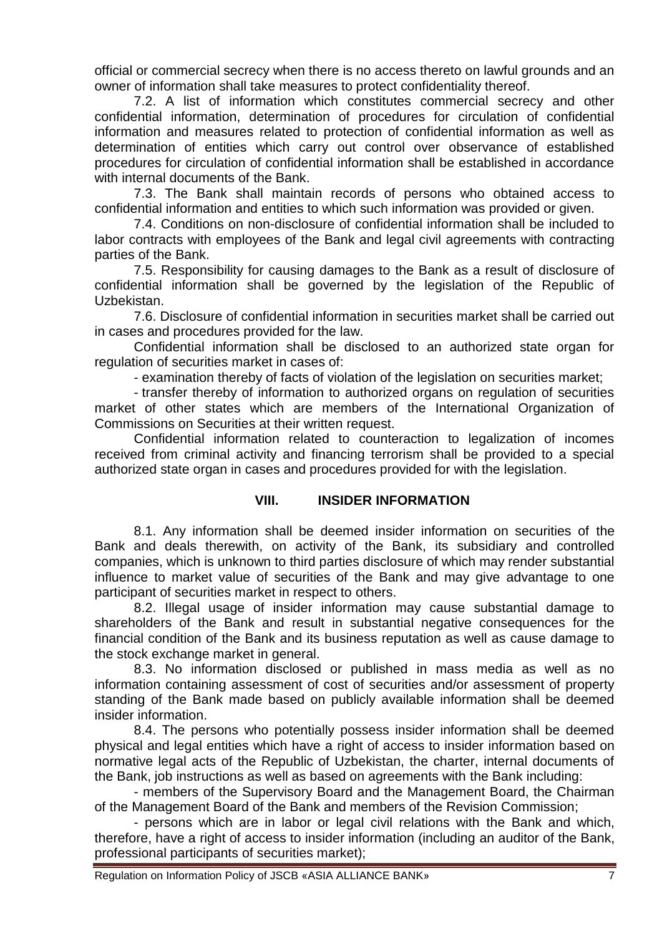official or commercial secrecy when there is no access thereto on lawful grounds and an owner of information shall take measures to protect confidentiality thereof.

7.2. A list of information which constitutes commercial secrecy and other confidential information, determination of procedures for circulation of confidential information and measures related to protection of confidential information as well as determination of entities which carry out control over observance of established procedures for circulation of confidential information shall be established in accordance with internal documents of the Bank.

7.3. The Bank shall maintain records of persons who obtained access to confidential information and entities to which such information was provided or given.

7.4. Conditions on non-disclosure of confidential information shall be included to labor contracts with employees of the Bank and legal civil agreements with contracting parties of the Bank.

7.5. Responsibility for causing damages to the Bank as a result of disclosure of confidential information shall be governed by the legislation of the Republic of Uzbekistan.

7.6. Disclosure of confidential information in securities market shall be carried out in cases and procedures provided for the law.

Confidential information shall be disclosed to an authorized state organ for regulation of securities market in cases of:

- examination thereby of facts of violation of the legislation on securities market;

- transfer thereby of information to authorized organs on regulation of securities market of other states which are members of the International Organization of Commissions on Securities at their written request.

Confidential information related to counteraction to legalization of incomes received from criminal activity and financing terrorism shall be provided to a special authorized state organ in cases and procedures provided for with the legislation.

### **VIII. INSIDER INFORMATION**

8.1. Any information shall be deemed insider information on securities of the Bank and deals therewith, on activity of the Bank, its subsidiary and controlled companies, which is unknown to third parties disclosure of which may render substantial influence to market value of securities of the Bank and may give advantage to one participant of securities market in respect to others.

8.2. Illegal usage of insider information may cause substantial damage to shareholders of the Bank and result in substantial negative consequences for the financial condition of the Bank and its business reputation as well as cause damage to the stock exchange market in general.

8.3. No information disclosed or published in mass media as well as no information containing assessment of cost of securities and/or assessment of property standing of the Bank made based on publicly available information shall be deemed insider information.

8.4. The persons who potentially possess insider information shall be deemed physical and legal entities which have a right of access to insider information based on normative legal acts of the Republic of Uzbekistan, the charter, internal documents of the Bank, job instructions as well as based on agreements with the Bank including:

- members of the Supervisory Board and the Management Board, the Chairman of the Management Board of the Bank and members of the Revision Commission;

- persons which are in labor or legal civil relations with the Bank and which, therefore, have a right of access to insider information (including an auditor of the Bank, professional participants of securities market);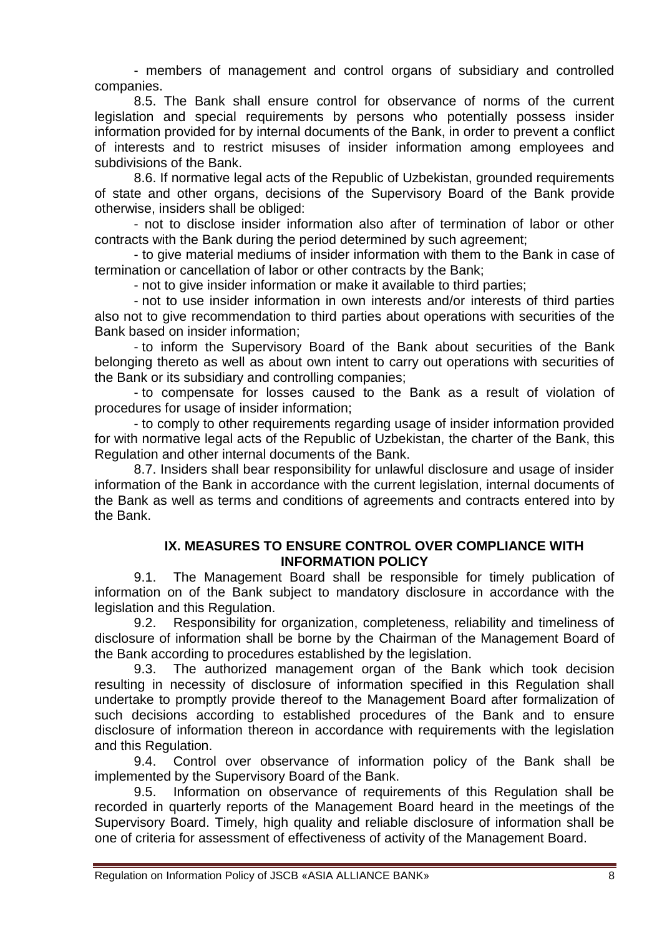- members of management and control organs of subsidiary and controlled companies.

8.5. The Bank shall ensure control for observance of norms of the current legislation and special requirements by persons who potentially possess insider information provided for by internal documents of the Bank, in order to prevent a conflict of interests and to restrict misuses of insider information among employees and subdivisions of the Bank.

8.6. If normative legal acts of the Republic of Uzbekistan, grounded requirements of state and other organs, decisions of the Supervisory Board of the Bank provide otherwise, insiders shall be obliged:

- not to disclose insider information also after of termination of labor or other contracts with the Bank during the period determined by such agreement;

- to give material mediums of insider information with them to the Bank in case of termination or cancellation of labor or other contracts by the Bank;

- not to give insider information or make it available to third parties;

- not to use insider information in own interests and/or interests of third parties also not to give recommendation to third parties about operations with securities of the Bank based on insider information;

- to inform the Supervisory Board of the Bank about securities of the Bank belonging thereto as well as about own intent to carry out operations with securities of the Bank or its subsidiary and controlling companies;

- to compensate for losses caused to the Bank as a result of violation of procedures for usage of insider information;

- to comply to other requirements regarding usage of insider information provided for with normative legal acts of the Republic of Uzbekistan, the charter of the Bank, this Regulation and other internal documents of the Bank.

8.7. Insiders shall bear responsibility for unlawful disclosure and usage of insider information of the Bank in accordance with the current legislation, internal documents of the Bank as well as terms and conditions of agreements and contracts entered into by the Bank.

#### **IX. MEASURES TO ENSURE CONTROL OVER COMPLIANCE WITH INFORMATION POLICY**

9.1. The Management Board shall be responsible for timely publication of information on of the Bank subject to mandatory disclosure in accordance with the legislation and this Regulation.

9.2. Responsibility for organization, completeness, reliability and timeliness of disclosure of information shall be borne by the Chairman of the Management Board of the Bank according to procedures established by the legislation.

9.3. The authorized management organ of the Bank which took decision resulting in necessity of disclosure of information specified in this Regulation shall undertake to promptly provide thereof to the Management Board after formalization of such decisions according to established procedures of the Bank and to ensure disclosure of information thereon in accordance with requirements with the legislation and this Regulation.

9.4. Control over observance of information policy of the Bank shall be implemented by the Supervisory Board of the Bank.

9.5. Information on observance of requirements of this Regulation shall be recorded in quarterly reports of the Management Board heard in the meetings of the Supervisory Board. Timely, high quality and reliable disclosure of information shall be one of criteria for assessment of effectiveness of activity of the Management Board.